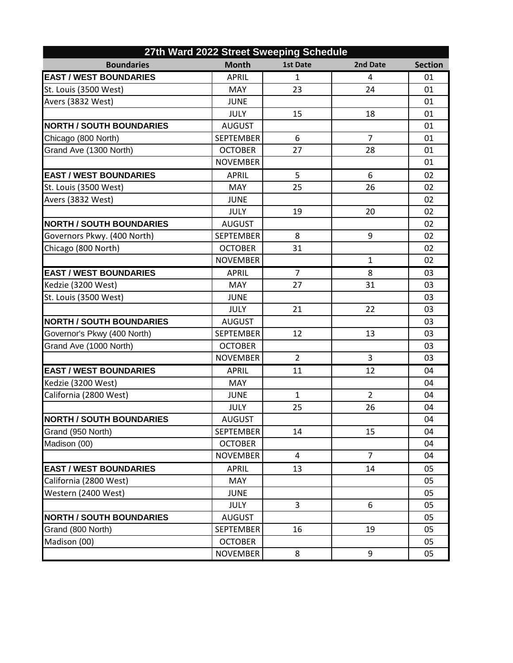| 27th Ward 2022 Street Sweeping Schedule |                  |                 |                |                |  |
|-----------------------------------------|------------------|-----------------|----------------|----------------|--|
| <b>Boundaries</b>                       | <b>Month</b>     | <b>1st Date</b> | 2nd Date       | <b>Section</b> |  |
| <b>EAST / WEST BOUNDARIES</b>           | <b>APRIL</b>     | $\mathbf{1}$    | 4              | 01             |  |
| St. Louis (3500 West)                   | <b>MAY</b>       | 23              | 24             | 01             |  |
| Avers (3832 West)                       | <b>JUNE</b>      |                 |                | 01             |  |
|                                         | <b>JULY</b>      | 15              | 18             | 01             |  |
| <b>NORTH / SOUTH BOUNDARIES</b>         | <b>AUGUST</b>    |                 |                | 01             |  |
| Chicago (800 North)                     | <b>SEPTEMBER</b> | 6               | $\overline{7}$ | 01             |  |
| Grand Ave (1300 North)                  | <b>OCTOBER</b>   | 27              | 28             | 01             |  |
|                                         | <b>NOVEMBER</b>  |                 |                | 01             |  |
| <b>EAST / WEST BOUNDARIES</b>           | <b>APRIL</b>     | 5               | 6              | 02             |  |
| St. Louis (3500 West)                   | <b>MAY</b>       | 25              | 26             | 02             |  |
| Avers (3832 West)                       | <b>JUNE</b>      |                 |                | 02             |  |
|                                         | <b>JULY</b>      | 19              | 20             | 02             |  |
| <b>NORTH / SOUTH BOUNDARIES</b>         | <b>AUGUST</b>    |                 |                | 02             |  |
| Governors Pkwy. (400 North)             | <b>SEPTEMBER</b> | 8               | 9              | 02             |  |
| Chicago (800 North)                     | <b>OCTOBER</b>   | 31              |                | 02             |  |
|                                         | <b>NOVEMBER</b>  |                 | 1              | 02             |  |
| <b>EAST / WEST BOUNDARIES</b>           | <b>APRIL</b>     | $\overline{7}$  | 8              | 03             |  |
| Kedzie (3200 West)                      | <b>MAY</b>       | 27              | 31             | 03             |  |
| St. Louis (3500 West)                   | <b>JUNE</b>      |                 |                | 03             |  |
|                                         | <b>JULY</b>      | 21              | 22             | 03             |  |
| <b>NORTH / SOUTH BOUNDARIES</b>         | <b>AUGUST</b>    |                 |                | 03             |  |
| Governor's Pkwy (400 North)             | <b>SEPTEMBER</b> | 12              | 13             | 03             |  |
| Grand Ave (1000 North)                  | <b>OCTOBER</b>   |                 |                | 03             |  |
|                                         | <b>NOVEMBER</b>  | $\overline{2}$  | 3              | 03             |  |
| <b>EAST / WEST BOUNDARIES</b>           | <b>APRIL</b>     | 11              | 12             | 04             |  |
| Kedzie (3200 West)                      | <b>MAY</b>       |                 |                | 04             |  |
| California (2800 West)                  | <b>JUNE</b>      | $\mathbf{1}$    | $\overline{2}$ | 04             |  |
|                                         | <b>JULY</b>      | 25              | 26             | 04             |  |
| <b>NORTH / SOUTH BOUNDARIES</b>         | <b>AUGUST</b>    |                 |                | 04             |  |
| Grand (950 North)                       | <b>SEPTEMBER</b> | 14              | 15             | 04             |  |
| Madison (00)                            | <b>OCTOBER</b>   |                 |                | 04             |  |
|                                         | <b>NOVEMBER</b>  | 4               | $\overline{7}$ | 04             |  |
| <b>EAST / WEST BOUNDARIES</b>           | <b>APRIL</b>     | 13              | 14             | 05             |  |
| California (2800 West)                  | MAY              |                 |                | 05             |  |
| Western (2400 West)                     | <b>JUNE</b>      |                 |                | 05             |  |
|                                         | JULY             | 3               | 6              | 05             |  |
| <b>NORTH / SOUTH BOUNDARIES</b>         | <b>AUGUST</b>    |                 |                | 05             |  |
| Grand (800 North)                       | <b>SEPTEMBER</b> | 16              | 19             | 05             |  |
| Madison (00)                            | <b>OCTOBER</b>   |                 |                | 05             |  |
|                                         | <b>NOVEMBER</b>  | 8               | 9              | 05             |  |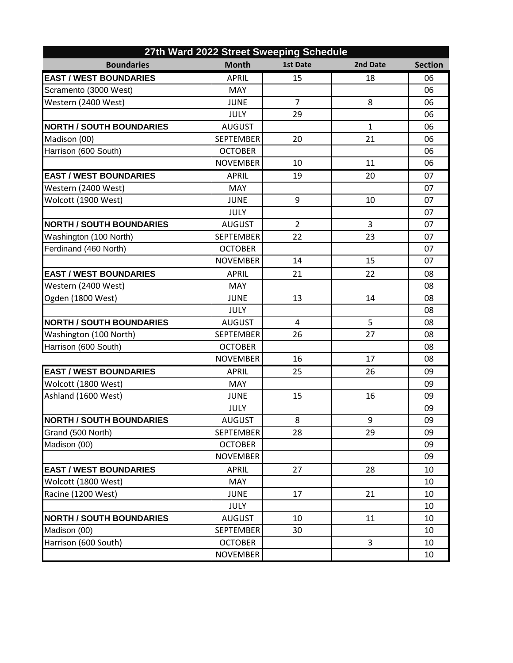| 27th Ward 2022 Street Sweeping Schedule |                  |                 |              |                |  |
|-----------------------------------------|------------------|-----------------|--------------|----------------|--|
| <b>Boundaries</b>                       | <b>Month</b>     | <b>1st Date</b> | 2nd Date     | <b>Section</b> |  |
| <b>EAST / WEST BOUNDARIES</b>           | <b>APRIL</b>     | 15              | 18           | 06             |  |
| Scramento (3000 West)                   | <b>MAY</b>       |                 |              | 06             |  |
| Western (2400 West)                     | <b>JUNE</b>      | $\overline{7}$  | 8            | 06             |  |
|                                         | <b>JULY</b>      | 29              |              | 06             |  |
| <b>NORTH / SOUTH BOUNDARIES</b>         | <b>AUGUST</b>    |                 | $\mathbf{1}$ | 06             |  |
| Madison (00)                            | <b>SEPTEMBER</b> | 20              | 21           | 06             |  |
| Harrison (600 South)                    | <b>OCTOBER</b>   |                 |              | 06             |  |
|                                         | <b>NOVEMBER</b>  | 10              | 11           | 06             |  |
| <b>EAST / WEST BOUNDARIES</b>           | <b>APRIL</b>     | 19              | 20           | 07             |  |
| Western (2400 West)                     | <b>MAY</b>       |                 |              | 07             |  |
| Wolcott (1900 West)                     | <b>JUNE</b>      | 9               | 10           | 07             |  |
|                                         | <b>JULY</b>      |                 |              | 07             |  |
| <b>NORTH / SOUTH BOUNDARIES</b>         | <b>AUGUST</b>    | $\overline{2}$  | 3            | 07             |  |
| Washington (100 North)                  | <b>SEPTEMBER</b> | 22              | 23           | 07             |  |
| Ferdinand (460 North)                   | <b>OCTOBER</b>   |                 |              | 07             |  |
|                                         | <b>NOVEMBER</b>  | 14              | 15           | 07             |  |
| <b>EAST / WEST BOUNDARIES</b>           | <b>APRIL</b>     | 21              | 22           | 08             |  |
| Western (2400 West)                     | <b>MAY</b>       |                 |              | 08             |  |
| Ogden (1800 West)                       | <b>JUNE</b>      | 13              | 14           | 08             |  |
|                                         | <b>JULY</b>      |                 |              | 08             |  |
| <b>NORTH / SOUTH BOUNDARIES</b>         | <b>AUGUST</b>    | 4               | 5            | 08             |  |
| Washington (100 North)                  | <b>SEPTEMBER</b> | 26              | 27           | 08             |  |
| Harrison (600 South)                    | <b>OCTOBER</b>   |                 |              | 08             |  |
|                                         | <b>NOVEMBER</b>  | 16              | 17           | 08             |  |
| <b>EAST / WEST BOUNDARIES</b>           | <b>APRIL</b>     | 25              | 26           | 09             |  |
| Wolcott (1800 West)                     | MAY              |                 |              | 09             |  |
| Ashland (1600 West)                     | <b>JUNE</b>      | 15              | 16           | 09             |  |
|                                         | JULY             |                 |              | 09             |  |
| <b>NORTH / SOUTH BOUNDARIES</b>         | <b>AUGUST</b>    | 8               | 9            | 09             |  |
| Grand (500 North)                       | <b>SEPTEMBER</b> | 28              | 29           | 09             |  |
| Madison (00)                            | <b>OCTOBER</b>   |                 |              | 09             |  |
|                                         | <b>NOVEMBER</b>  |                 |              | 09             |  |
| <b>EAST / WEST BOUNDARIES</b>           | <b>APRIL</b>     | 27              | 28           | 10             |  |
| Wolcott (1800 West)                     | MAY              |                 |              | 10             |  |
| Racine (1200 West)                      | <b>JUNE</b>      | 17              | 21           | 10             |  |
|                                         | <b>JULY</b>      |                 |              | 10             |  |
| <b>NORTH / SOUTH BOUNDARIES</b>         | <b>AUGUST</b>    | 10              | 11           | 10             |  |
| Madison (00)                            | <b>SEPTEMBER</b> | 30              |              | 10             |  |
| Harrison (600 South)                    | <b>OCTOBER</b>   |                 | 3            | 10             |  |
|                                         | <b>NOVEMBER</b>  |                 |              | 10             |  |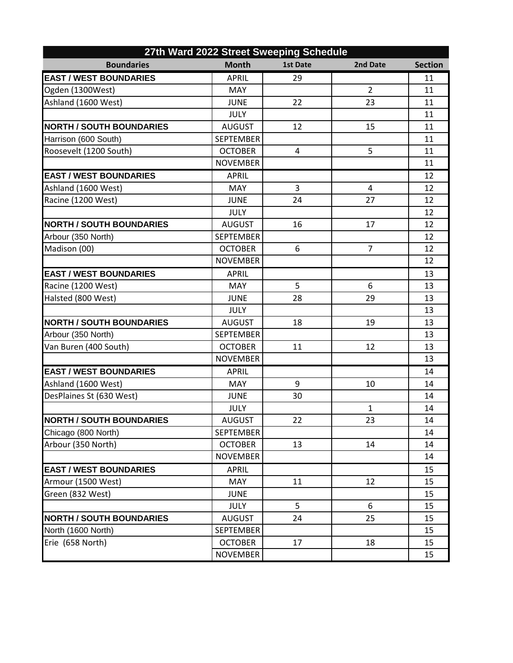| 27th Ward 2022 Street Sweeping Schedule |                  |                 |                |                |  |
|-----------------------------------------|------------------|-----------------|----------------|----------------|--|
| <b>Boundaries</b>                       | <b>Month</b>     | <b>1st Date</b> | 2nd Date       | <b>Section</b> |  |
| <b>EAST / WEST BOUNDARIES</b>           | <b>APRIL</b>     | 29              |                | 11             |  |
| Ogden (1300West)                        | <b>MAY</b>       |                 | $\overline{2}$ | 11             |  |
| Ashland (1600 West)                     | <b>JUNE</b>      | 22              | 23             | 11             |  |
|                                         | <b>JULY</b>      |                 |                | 11             |  |
| <b>NORTH / SOUTH BOUNDARIES</b>         | <b>AUGUST</b>    | 12              | 15             | 11             |  |
| Harrison (600 South)                    | <b>SEPTEMBER</b> |                 |                | 11             |  |
| Roosevelt (1200 South)                  | <b>OCTOBER</b>   | 4               | 5              | 11             |  |
|                                         | <b>NOVEMBER</b>  |                 |                | 11             |  |
| <b>EAST / WEST BOUNDARIES</b>           | <b>APRIL</b>     |                 |                | 12             |  |
| Ashland (1600 West)                     | <b>MAY</b>       | 3               | 4              | 12             |  |
| Racine (1200 West)                      | <b>JUNE</b>      | 24              | 27             | 12             |  |
|                                         | <b>JULY</b>      |                 |                | 12             |  |
| <b>NORTH / SOUTH BOUNDARIES</b>         | <b>AUGUST</b>    | 16              | 17             | 12             |  |
| Arbour (350 North)                      | <b>SEPTEMBER</b> |                 |                | 12             |  |
| Madison (00)                            | <b>OCTOBER</b>   | 6               | $\overline{7}$ | 12             |  |
|                                         | <b>NOVEMBER</b>  |                 |                | 12             |  |
| <b>EAST / WEST BOUNDARIES</b>           | <b>APRIL</b>     |                 |                | 13             |  |
| Racine (1200 West)                      | <b>MAY</b>       | 5               | 6              | 13             |  |
| Halsted (800 West)                      | <b>JUNE</b>      | 28              | 29             | 13             |  |
|                                         | <b>JULY</b>      |                 |                | 13             |  |
| <b>NORTH / SOUTH BOUNDARIES</b>         | <b>AUGUST</b>    | 18              | 19             | 13             |  |
| Arbour (350 North)                      | <b>SEPTEMBER</b> |                 |                | 13             |  |
| Van Buren (400 South)                   | <b>OCTOBER</b>   | 11              | 12             | 13             |  |
|                                         | <b>NOVEMBER</b>  |                 |                | 13             |  |
| <b>EAST / WEST BOUNDARIES</b>           | <b>APRIL</b>     |                 |                | 14             |  |
| Ashland (1600 West)                     | <b>MAY</b>       | 9               | 10             | 14             |  |
| DesPlaines St (630 West)                | <b>JUNE</b>      | 30              |                | 14             |  |
|                                         | JULY             |                 | $\mathbf{1}$   | 14             |  |
| <b>NORTH / SOUTH BOUNDARIES</b>         | <b>AUGUST</b>    | 22              | 23             | 14             |  |
| Chicago (800 North)                     | <b>SEPTEMBER</b> |                 |                | 14             |  |
| Arbour (350 North)                      | <b>OCTOBER</b>   | 13              | 14             | 14             |  |
|                                         | <b>NOVEMBER</b>  |                 |                | 14             |  |
| <b>EAST / WEST BOUNDARIES</b>           | <b>APRIL</b>     |                 |                | 15             |  |
| Armour (1500 West)                      | MAY              | 11              | 12             | 15             |  |
| Green (832 West)                        | <b>JUNE</b>      |                 |                | 15             |  |
|                                         | <b>JULY</b>      | 5               | 6              | 15             |  |
| <b>NORTH / SOUTH BOUNDARIES</b>         | <b>AUGUST</b>    | 24              | 25             | 15             |  |
| North (1600 North)                      | <b>SEPTEMBER</b> |                 |                | 15             |  |
| Erie (658 North)                        | <b>OCTOBER</b>   | 17              | 18             | 15             |  |
|                                         | <b>NOVEMBER</b>  |                 |                | 15             |  |